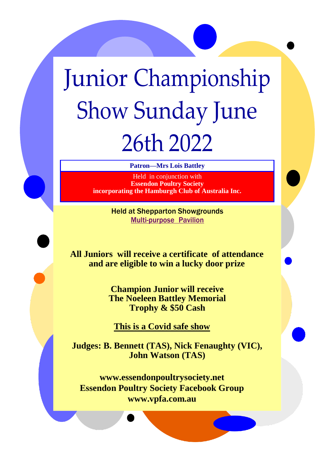# Junior Championship Show Sunday June 26th 2022

**Patron—Mrs Lois Battley**

Held in conjunction with **Essendon Poultry Society incorporating the Hamburgh Club of Australia Inc.**

> Held at Shepparton Showgrounds Multi-purpose Pavilion

**All Juniors will receive a certificate of attendance and are eligible to win a lucky door prize**

> **Champion Junior will receive The Noeleen Battley Memorial Trophy & \$50 Cash**

**This is a Covid safe show**

**Judges: B. Bennett (TAS), Nick Fenaughty (VIC), John Watson (TAS)**

**www.essendonpoultrysociety.net Essendon Poultry Society Facebook Group www.vpfa.com.au**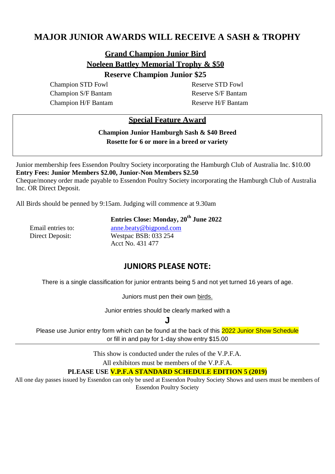# **MAJOR JUNIOR AWARDS WILL RECEIVE A SASH & TROPHY**

# **Grand Champion Junior Bird Noeleen Battley Memorial Trophy & \$50**

#### **Reserve Champion Junior \$25**

Champion STD Fowl Reserve STD Fowl Champion S/F Bantam Reserve S/F Bantam Champion H/F Bantam Reserve H/F Bantam

### **Special Feature Award**

**Champion Junior Hamburgh Sash & \$40 Breed Rosette for 6 or more in a breed or variety**

Junior membership fees Essendon Poultry Society incorporating the Hamburgh Club of Australia Inc. \$10.00 **Entry Fees: Junior Members \$2.00, Junior-Non Members \$2.50** Cheque/money order made payable to Essendon Poultry Society incorporating the Hamburgh Club of Australia Inc. OR Direct Deposit.

All Birds should be penned by 9:15am. Judging will commence at 9.30am

**Entries Close: Monday, 20th June 2022**

Email entries to: [anne.beaty@bigpond.com](mailto:anne.beat@bigpond.com) Direct Deposit: Westpac BSB: 033 254 Acct No. 431 477

## **JUNIORS PLEASE NOTE:**

There is a single classification for junior entrants being 5 and not yet turned 16 years of age.

Juniors must pen their own birds.

Junior entries should be clearly marked with a

**J**

Please use Junior entry form which can be found at the back of this 2022 Junior Show Schedule or fill in and pay for 1-day show entry \$15.00

This show is conducted under the rules of the V.P.F.A.

All exhibitors must be members of the V.P.F.A.

#### **PLEASE USE V.P.F.A STANDARD SCHEDULE EDITION 5 (2019)**

All one day passes issued by Essendon can only be used at Essendon Poultry Society Shows and users must be members of Essendon Poultry Society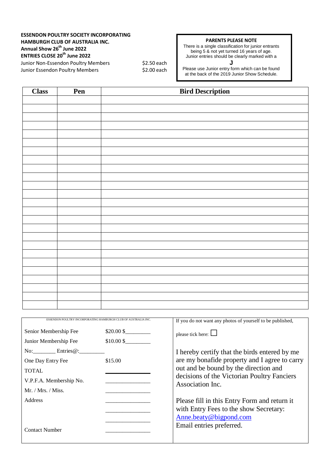#### **ESSENDON POULTRY SOCIETY INCORPORATING HAMBURGH CLUB OF AUSTRALIA INC. Annual Show 26 th June 2022 ENTRIES CLOSE 20th June 2022** Junior Non-Essendon Poultry Members \$2.50 each

Junior Essendon Poultry Members \$2.00 each

#### **PARENTS PLEASE NOTE**

There is a single classification for junior entrants being 5 & not yet turned 16 years of age. Junior entries should be clearly marked with a

**J** Please use Junior entry form which can be found at the back of the 2019 Junior Show Schedule.

| <b>Class</b> | Pen | <b>Bird Description</b> |  |
|--------------|-----|-------------------------|--|
|              |     |                         |  |
|              |     |                         |  |
|              |     |                         |  |
|              |     |                         |  |
|              |     |                         |  |
|              |     |                         |  |
|              |     |                         |  |
|              |     |                         |  |
|              |     |                         |  |
|              |     |                         |  |
|              |     |                         |  |
|              |     |                         |  |
|              |     |                         |  |
|              |     |                         |  |
|              |     |                         |  |
|              |     |                         |  |
|              |     |                         |  |
|              |     |                         |  |
|              |     |                         |  |
|              |     |                         |  |
|              |     |                         |  |
|              |     |                         |  |
|              |     |                         |  |
|              |     |                         |  |
|              |     |                         |  |

| ESSENDON POULTRY INCORPORATING HAMBURGH CLUB OF AUSTRALIA INC |             | If you do not want any photos of yourself to be published,                                                                                                                                                 |
|---------------------------------------------------------------|-------------|------------------------------------------------------------------------------------------------------------------------------------------------------------------------------------------------------------|
| Senior Membership Fee                                         | \$20.00 \$  | please tick here: $\Box$                                                                                                                                                                                   |
| Junior Membership Fee                                         | $$10.00$ \$ |                                                                                                                                                                                                            |
| $\text{No:}$ Entries $@:$                                     | \$15.00     | I hereby certify that the birds entered by me<br>are my bonafide property and I agree to carry<br>out and be bound by the direction and<br>decisions of the Victorian Poultry Fanciers<br>Association Inc. |
| One Day Entry Fee                                             |             |                                                                                                                                                                                                            |
| <b>TOTAL</b>                                                  |             |                                                                                                                                                                                                            |
| V.P.F.A. Membership No.                                       |             |                                                                                                                                                                                                            |
| Mr. / Mrs. / Miss.                                            |             |                                                                                                                                                                                                            |
| <b>Address</b>                                                |             | Please fill in this Entry Form and return it                                                                                                                                                               |
|                                                               |             | with Entry Fees to the show Secretary:                                                                                                                                                                     |
|                                                               |             | Anne.beaty@bigpond.com                                                                                                                                                                                     |
| <b>Contact Number</b>                                         |             | Email entries preferred.                                                                                                                                                                                   |
|                                                               |             |                                                                                                                                                                                                            |